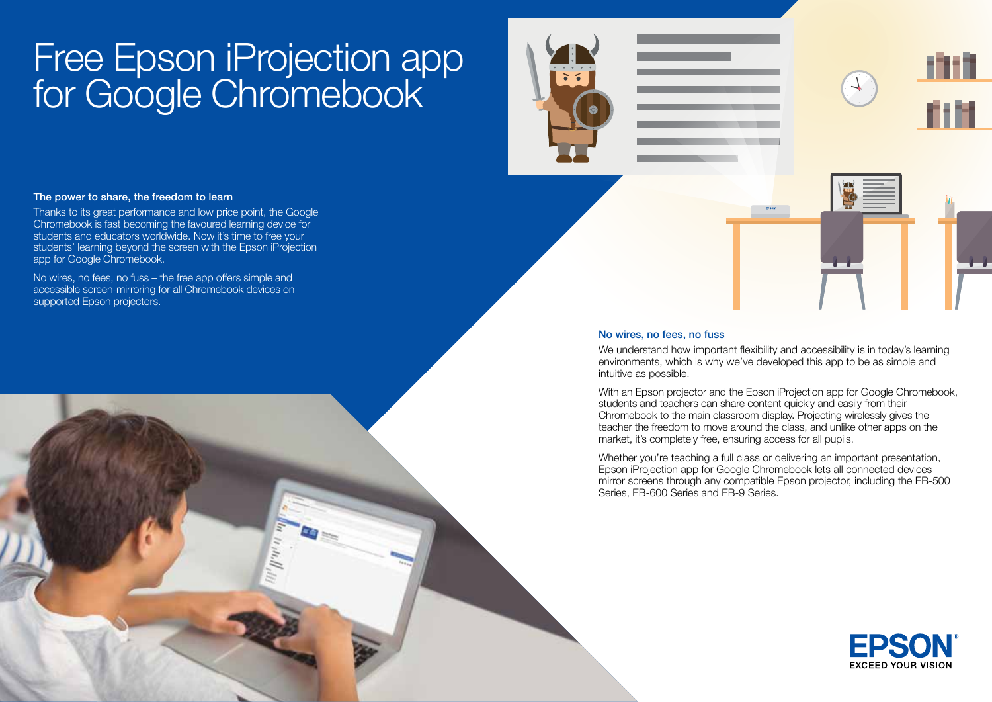## Free Epson iProjection app for Google Chromebook

#### The power to share, the freedom to learn

Thanks to its great performance and low price point, the Google Chromebook is fast becoming the favoured learning device for students and educators worldwide. Now it's time to free your students' learning beyond the screen with the Epson iProjection app for Google Chromebook.

No wires, no fees, no fuss – the free app offers simple and accessible screen-mirroring for all Chromebook devices on supported Epson projectors.

#### No wires, no fees, no fuss

We understand how important flexibility and accessibility is in today's learning environments, which is why we've developed this app to be as simple and intuitive as possible.

With an Epson projector and the Epson iProjection app for Google Chromebook, students and teachers can share content quickly and easily from their Chromebook to the main classroom display. Projecting wirelessly gives the teacher the freedom to move around the class, and unlike other apps on the market, it's completely free, ensuring access for all pupils.

Whether you're teaching a full class or delivering an important presentation, Epson iProjection app for Google Chromebook lets all connected devices mirror screens through any compatible Epson projector, including the EB-500 Series, EB-600 Series and EB-9 Series.



n H